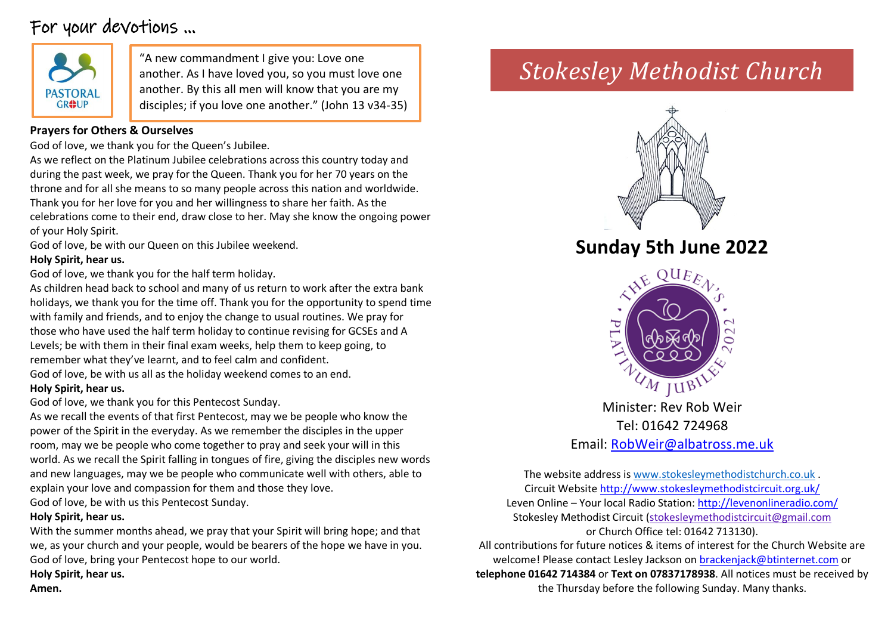# For your devotions …



"A new commandment I give you: Love one  $\|$  stokesley Methodist Church another. As I have loved you, so you must love one another. By this all men will know that you are my disciples; if you love one another." (John 13 v34-35)

### **Prayers for Others & Ourselves**

God of love, we thank you for the Queen's Jubilee.

As we reflect on the Platinum Jubilee celebrations across this country today and during the past week, we pray for the Queen. Thank you for her 70 years on the throne and for all she means to so many people across this nation and worldwide. Thank you for her love for you and her willingness to share her faith. As the celebrations come to their end, draw close to her. May she know the ongoing power of your Holy Spirit.

God of love, be with our Queen on this Jubilee weekend.

#### **Holy Spirit, hear us.**

God of love, we thank you for the half term holiday.

As children head back to school and many of us return to work after the extra bank holidays, we thank you for the time off. Thank you for the opportunity to spend time with family and friends, and to enjoy the change to usual routines. We pray for those who have used the half term holiday to continue revising for GCSEs and A Levels; be with them in their final exam weeks, help them to keep going, to remember what they've learnt, and to feel calm and confident.

God of love, be with us all as the holiday weekend comes to an end. **Holy Spirit, hear us.**

God of love, we thank you for this Pentecost Sunday.

As we recall the events of that first Pentecost, may we be people who know the power of the Spirit in the everyday. As we remember the disciples in the upper room, may we be people who come together to pray and seek your will in this world. As we recall the Spirit falling in tongues of fire, giving the disciples new words and new languages, may we be people who communicate well with others, able to explain your love and compassion for them and those they love. God of love, be with us this Pentecost Sunday.

#### **Holy Spirit, hear us.**

With the summer months ahead, we pray that your Spirit will bring hope; and that we, as your church and your people, would be bearers of the hope we have in you. God of love, bring your Pentecost hope to our world.

**Holy Spirit, hear us. Amen.**



# **Sunday 5th June 2022**



Minister: Rev Rob Weir Tel: 01642 724968 Email: [RobWeir@albatross.me.uk](mailto:RobWeir@albatross.me.uk)

The website address i[s www.stokesleymethodistchurch.co.uk](http://www.stokesleymethodistchurch.co.uk/) . Circuit Website<http://www.stokesleymethodistcircuit.org.uk/> Leven Online – Your local Radio Station:<http://levenonlineradio.com/> Stokesley Methodist Circuit [\(stokesleymethodistcircuit@gmail.com](mailto:stokesleymethodistcircuit@gmail.com) or Church Office tel: 01642 713130). All contributions for future notices & items of interest for the Church Website are

welcome! Please contact Lesley Jackson o[n brackenjack@btinternet.com](mailto:brackenjack@btinternet.com) or **telephone 01642 714384** or **Text on 07837178938**. All notices must be received by the Thursday before the following Sunday. Many thanks.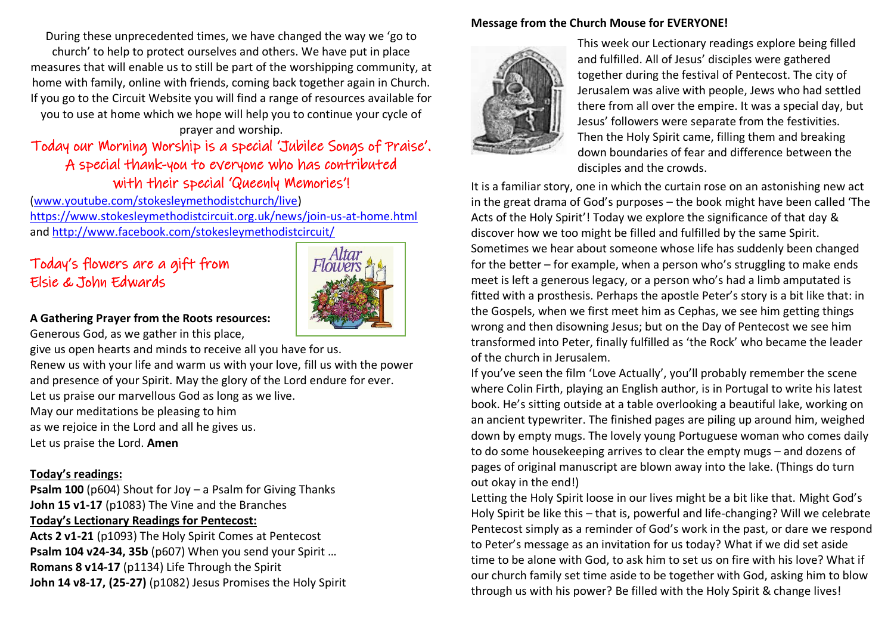During these unprecedented times, we have changed the way we 'go to church' to help to protect ourselves and others. We have put in place measures that will enable us to still be part of the worshipping community, at home with family, online with friends, coming back together again in Church. If you go to the Circuit Website you will find a range of resources available for you to use at home which we hope will help you to continue your cycle of

#### prayer and worship.

### Today our Morning Worship is a special 'Jubilee Songs of Praise'. A special thank-you to everyone who has contributed with their special 'Queenly Memories'!

[\(www.youtube.com/stokesleymethodistchurch/live\)](http://www.youtube.com/stokesleymethodistchurch/live) <https://www.stokesleymethodistcircuit.org.uk/news/join-us-at-home.html> and<http://www.facebook.com/stokesleymethodistcircuit/>

### Today's flowers are a gift from Elsie & John Edwards



#### **A Gathering Prayer from the Roots resources:** Generous God, as we gather in this place,

give us open hearts and minds to receive all you have for us.

Renew us with your life and warm us with your love, fill us with the power and presence of your Spirit. May the glory of the Lord endure for ever. Let us praise our marvellous God as long as we live. May our meditations be pleasing to him

as we rejoice in the Lord and all he gives us.

Let us praise the Lord. **Amen**

#### **Today's readings:**

**Psalm 100** (p604) Shout for Joy – a Psalm for Giving Thanks **John 15 v1-17** (p1083) The Vine and the Branches **Today's Lectionary Readings for Pentecost:**

**Acts 2 v1-21** (p1093) The Holy Spirit Comes at Pentecost **Psalm 104 v24-34, 35b** (p607) When you send your Spirit … **Romans 8 v14-17** (p1134) Life Through the Spirit **John 14 v8-17, (25-27)** (p1082) Jesus Promises the Holy Spirit

#### **Message from the Church Mouse for EVERYONE!**



This week our Lectionary readings explore being filled and fulfilled. All of Jesus' disciples were gathered together during the festival of Pentecost. The city of Jerusalem was alive with people, Jews who had settled there from all over the empire. It was a special day, but Jesus' followers were separate from the festivities. Then the Holy Spirit came, filling them and breaking down boundaries of fear and difference between the disciples and the crowds.

It is a familiar story, one in which the curtain rose on an astonishing new act in the great drama of God's purposes – the book might have been called 'The Acts of the Holy Spirit'! Today we explore the significance of that day & discover how we too might be filled and fulfilled by the same Spirit. Sometimes we hear about someone whose life has suddenly been changed for the better – for example, when a person who's struggling to make ends meet is left a generous legacy, or a person who's had a limb amputated is fitted with a prosthesis. Perhaps the apostle Peter's story is a bit like that: in the Gospels, when we first meet him as Cephas, we see him getting things wrong and then disowning Jesus; but on the Day of Pentecost we see him transformed into Peter, finally fulfilled as 'the Rock' who became the leader of the church in Jerusalem.

If you've seen the film 'Love Actually', you'll probably remember the scene where Colin Firth, playing an English author, is in Portugal to write his latest book. He's sitting outside at a table overlooking a beautiful lake, working on an ancient typewriter. The finished pages are piling up around him, weighed down by empty mugs. The lovely young Portuguese woman who comes daily to do some housekeeping arrives to clear the empty mugs – and dozens of pages of original manuscript are blown away into the lake. (Things do turn out okay in the end!)

Letting the Holy Spirit loose in our lives might be a bit like that. Might God's Holy Spirit be like this – that is, powerful and life-changing? Will we celebrate Pentecost simply as a reminder of God's work in the past, or dare we respond to Peter's message as an invitation for us today? What if we did set aside time to be alone with God, to ask him to set us on fire with his love? What if our church family set time aside to be together with God, asking him to blow through us with his power? Be filled with the Holy Spirit & change lives!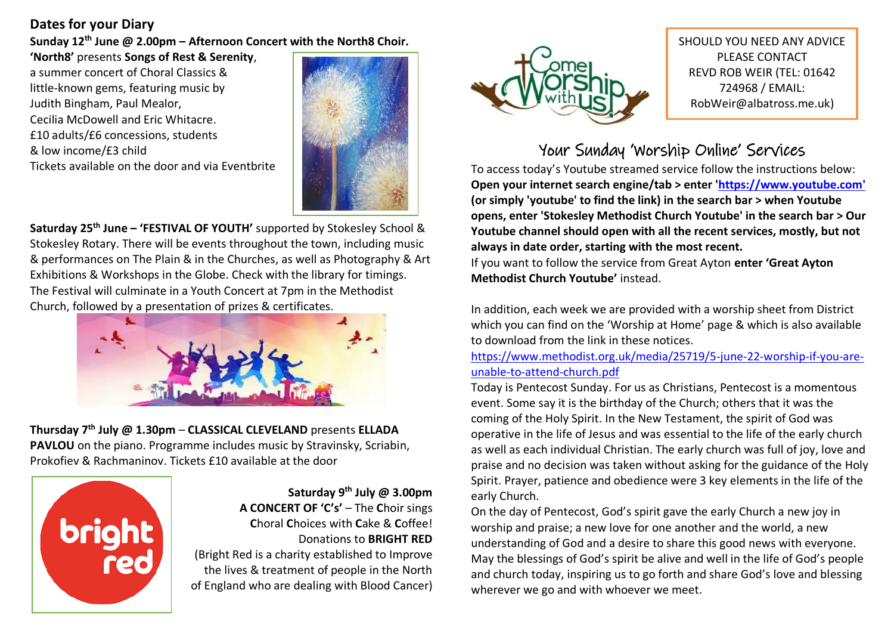### **Dates for your Diary**

**Sunday 12th June @ 2.00pm – Afternoon Concert with the North8 Choir.** 

**'North8'** presents **Songs of Rest & Serenity**, a summer concert of Choral Classics & little-known gems, featuring music by Judith Bingham, Paul Mealor, Cecilia McDowell and Eric Whitacre. £10 adults/£6 concessions, students & low income/£3 child Tickets available on the door and via Eventbrite



**Saturday 25th June – 'FESTIVAL OF YOUTH'** supported by Stokesley School & Stokesley Rotary. There will be events throughout the town, including music & performances on The Plain & in the Churches, as well as Photography & Art Exhibitions & Workshops in the Globe. Check with the library for timings. The Festival will culminate in a Youth Concert at 7pm in the Methodist Church, followed by a presentation of prizes & certificates.



**Thursday 7th July @ 1.30pm** – **CLASSICAL CLEVELAND** presents **ELLADA PAVLOU** on the piano. Programme includes music by Stravinsky, Scriabin, Prokofiev & Rachmaninov. Tickets £10 available at the door



**Saturday 9th July @ 3.00pm A CONCERT OF 'C's'** – The **C**hoir sings **C**horal **C**hoices with **C**ake & **C**offee! Donations to **BRIGHT RED**  (Bright Red is a charity established to Improve

the lives & treatment of people in the North of England who are dealing with Blood Cancer)



SHOULD YOU NEED ANY ADVICE PLEASE CONTACT REVD ROB WEIR (TEL: 01642 724968 / EMAIL: RobWeir@albatross.me.uk)

# Your Sunday 'Worship Online' Services

To access today's Youtube streamed service follow the instructions below: **Open your internet search engine/tab > enter ['https://www.youtube.com'](https://www.youtube.com/) (or simply 'youtube' to find the link) in the search bar > when Youtube opens, enter 'Stokesley Methodist Church Youtube' in the search bar > Our Youtube channel should open with all the recent services, mostly, but not always in date order, starting with the most recent.**

If you want to follow the service from Great Ayton **enter 'Great Ayton Methodist Church Youtube'** instead.

In addition, each week we are provided with a worship sheet from District which you can find on the 'Worship at Home' page & which is also available to download from the link in these notices.

[https://www.methodist.org.uk/media/25719/5-june-22-worship-if-you-are](https://www.methodist.org.uk/media/25719/5-june-22-worship-if-you-are-unable-to-attend-church.pdf)[unable-to-attend-church.pdf](https://www.methodist.org.uk/media/25719/5-june-22-worship-if-you-are-unable-to-attend-church.pdf)

Today is Pentecost Sunday. For us as Christians, Pentecost is a momentous event. Some say it is the birthday of the Church; others that it was the coming of the Holy Spirit. In the New Testament, the spirit of God was operative in the life of Jesus and was essential to the life of the early church as well as each individual Christian. The early church was full of joy, love and praise and no decision was taken without asking for the guidance of the Holy Spirit. Prayer, patience and obedience were 3 key elements in the life of the early Church.

On the day of Pentecost, God's spirit gave the early Church a new joy in worship and praise; a new love for one another and the world, a new understanding of God and a desire to share this good news with everyone. May the blessings of God's spirit be alive and well in the life of God's people and church today, inspiring us to go forth and share God's love and blessing wherever we go and with whoever we meet.